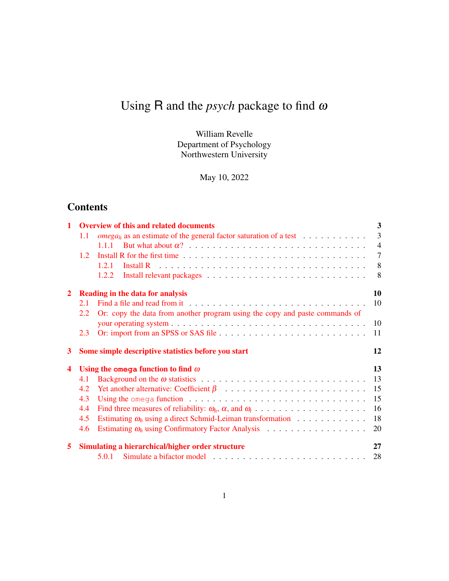# Using R and the *psych* package to find <sup>ω</sup>

William Revelle Department of Psychology Northwestern University

May 10, 2022

## **Contents**

| 1                       |     | <b>Overview of this and related documents</b>                                                             | $\mathbf{3}$   |
|-------------------------|-----|-----------------------------------------------------------------------------------------------------------|----------------|
|                         | 1.1 | <i>omega<sub>h</sub></i> as an estimate of the general factor saturation of a test $\ldots \ldots \ldots$ | $\overline{3}$ |
|                         |     | 1.1.1                                                                                                     | $\overline{4}$ |
|                         | 1.2 |                                                                                                           | $\overline{7}$ |
|                         |     | 1.2.1                                                                                                     | 8              |
|                         |     | 1.2.2                                                                                                     | 8              |
| $\overline{2}$          |     | <b>Reading in the data for analysis</b>                                                                   | 10             |
|                         | 2.1 |                                                                                                           | 10             |
|                         | 2.2 | Or: copy the data from another program using the copy and paste commands of                               |                |
|                         |     |                                                                                                           | 10             |
|                         | 2.3 |                                                                                                           | 11             |
|                         |     |                                                                                                           |                |
| 3                       |     | Some simple descriptive statistics before you start                                                       | 12             |
| $\overline{\mathbf{4}}$ |     | Using the omega function to find $\omega$                                                                 | 13             |
|                         | 4.1 |                                                                                                           | 13             |
|                         | 4.2 |                                                                                                           | 15             |
|                         | 4.3 | Using the omega function $\ldots \ldots \ldots \ldots \ldots \ldots \ldots \ldots \ldots \ldots$          | 15             |
|                         | 4.4 |                                                                                                           | 16             |
|                         | 4.5 | Estimating $\omega_h$ using a direct Schmid-Leiman transformation $\ldots \ldots \ldots \ldots$           | 18             |
|                         | 4.6 | Estimating $\omega_h$ using Confirmatory Factor Analysis $\ldots \ldots \ldots \ldots \ldots$             | 20             |
| 5                       |     | Simulating a hierarchical/higher order structure                                                          | 27             |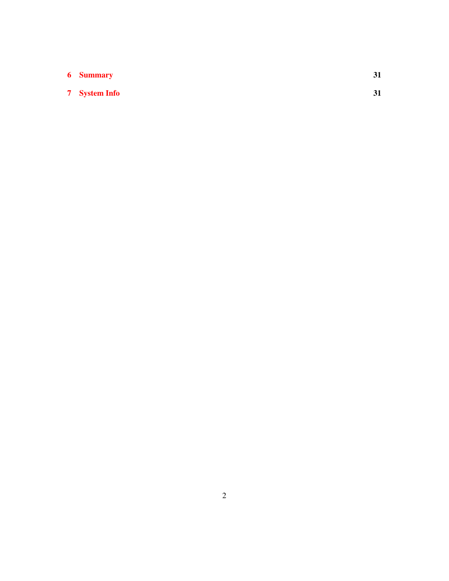| <b>6</b> Summary     |  |
|----------------------|--|
| <b>7</b> System Info |  |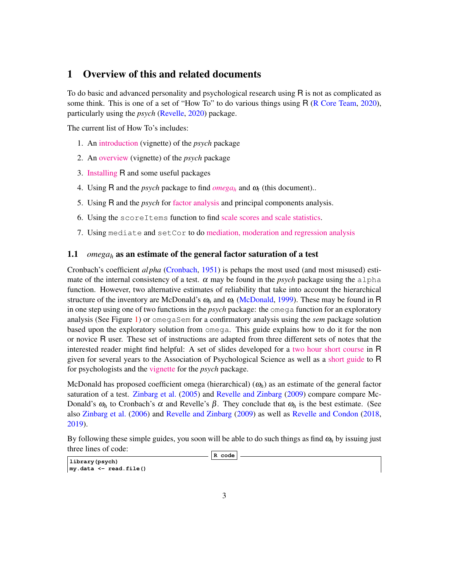## 1 Overview of this and related documents

To do basic and advanced personality and psychological research using R is not as complicated as some think. This is one of a set of "How To" to do various things using R (R Core Team, 2020), particularly using the *psych* (Revelle, 2020) package.

The current list of How To's includes:

- 1. An [introduction](http://personality-project.org/r/psych/intro.pdf) (vignette) of the *psych* package
- 2. An [overview](http://personality-project.org/r/psych/overview.pdf) (vignette) of the *psych* package
- 3. [Installing](http://personality-project.org/r/psych/HowTo/getting_started.pdf) R and some useful packages
- 4. Using R and the *psych* package to find  $omega_h$  $omega_h$  and  $\omega_t$  (this document)...
- 5. Using R and the *psych* for [factor analysis](http://personality-project.org/r/psych/HowTo/factor.pdf) and principal components analysis.
- 6. Using the scoreItems function to find [scale scores and scale statistics.](http://personality-project.org/r/psych/HowTo/scoring.pdf)
- 7. Using mediate and setCor to do [mediation, moderation and regression analysis](http://personality-project.org/r/psych/HowTo/mediation.pdf)

#### 1.1 *omega<sup>h</sup>* as an estimate of the general factor saturation of a test

Cronbach's coefficient *al pha* (Cronbach, 1951) is pehaps the most used (and most misused) estimate of the internal consistency of a test.  $\alpha$  may be found in the *psych* package using the alpha function. However, two alternative estimates of reliability that take into account the hierarchical structure of the inventory are McDonald's  $\omega_h$  and  $\omega_t$  (McDonald, 1999). These may be found in R in one step using one of two functions in the *psych* package: the omega function for an exploratory analysis (See Figure 1) or omegaSem for a confirmatory analysis using the *sem* package solution based upon the exploratory solution from omega. This guide explains how to do it for the non or novice R user. These set of instructions are adapted from three different sets of notes that the interested reader might find helpful: A set of slides developed for a [two hour short course](http://personality-project.org/r/aps/aps-short.pdf) in R given for several years to the Association of Psychological Science as well as a [short guide](http://personality-project.org/r/) to R for psychologists and the [vignette](http://cran.r-project.org/web/packages/psych/vignettes/overview.pdf) for the *psych* package.

McDonald has proposed coefficient omega (hierarchical) (<sup>ω</sup>*h*) as an estimate of the general factor saturation of a test. Zinbarg et al. (2005) and Revelle and Zinbarg (2009) compare compare Mc-Donald's  $ω<sub>h</sub>$  to Cronbach's α and Revelle's  $β$ . They conclude that  $ω<sub>h</sub>$  is the best estimate. (See also Zinbarg et al. (2006) and Revelle and Zinbarg (2009) as well as Revelle and Condon (2018, 2019).

By following these simple guides, you soon will be able to do such things as find <sup>ω</sup>*<sup>h</sup>* by issuing just three lines of code:

**R code**

**library(psych) my.data <- read.file()**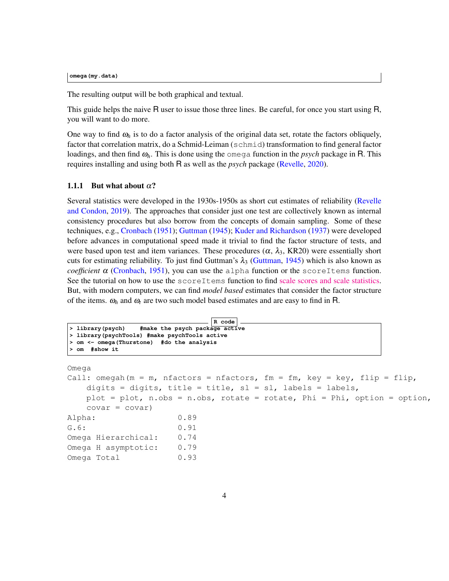**omega(my.data)**

The resulting output will be both graphical and textual.

This guide helps the naive R user to issue those three lines. Be careful, for once you start using R, you will want to do more.

One way to find  $\omega_h$  is to do a factor analysis of the original data set, rotate the factors obliquely, factor that correlation matrix, do a Schmid-Leiman (schmid) transformation to find general factor loadings, and then find <sup>ω</sup>*h*. This is done using the omega function in the *psych* package in R. This requires installing and using both R as well as the *psych* package (Revelle, 2020).

#### 1.1.1 But what about  $\alpha$ ?

Several statistics were developed in the 1930s-1950s as short cut estimates of reliability (Revelle and Condon, 2019). The approaches that consider just one test are collectively known as internal consistency procedures but also borrow from the concepts of domain sampling. Some of these techniques, e.g., Cronbach (1951); Guttman (1945); Kuder and Richardson (1937) were developed before advances in computational speed made it trivial to find the factor structure of tests, and were based upon test and item variances. These procedures ( $\alpha$ ,  $\lambda_3$ , KR20) were essentially short cuts for estimating reliability. To just find Guttman's  $\lambda_3$  (Guttman, 1945) which is also known as *coefficient*  $\alpha$  (Cronbach, 1951), you can use the alpha function or the scoreItems function. See the tutorial on how to use the scoreItems function to find [scale scores and scale statistics.](http://personality-project.org/r/psych/HowTo/scoring.pdf) But, with modern computers, we can find *model based* estimates that consider the factor structure of the items.  $\omega_h$  and  $\omega_t$  are two such model based estimates and are easy to find in R.

```
R code
> library(psych) #make the psych package active
> library(psychTools) #make psychTools active
> om <- omega(Thurstone) #do the analysis
> om #show it
```
Omega

```
Call: omegah(m = m, nfactors = nfactors, fm = fm, key = key, flip = flip,
   digits = digits, title = title, sl = sl, labels = labels,
   plot = plot, n.obs = n.obs, rotate = rotate, Phi = Phi, option = option,
   covar = covar)
Alpha: 0.89
G.6: 0.91
Omega Hierarchical: 0.74
Omega H asymptotic: 0.79
Omega Total 0.93
```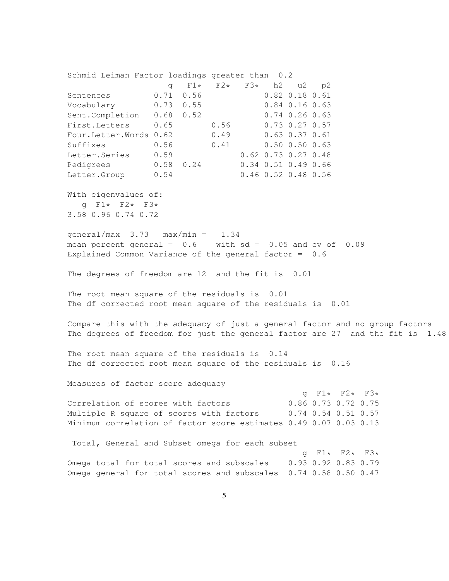Schmid Leiman Factor loadings greater than 0.2 g F1\* F2\* F3\* h2 u2 p2 Sentences 0.71 0.56 0.82 0.18 0.61 Vocabulary 0.73 0.55 0.84 0.16 0.63 Sent.Completion 0.68 0.52 0.74 0.26 0.63 First.Letters 0.65 0.56 0.73 0.27 0.57 Four.Letter.Words 0.62 0.49 0.63 0.37 0.61 Suffixes 0.56 0.41 0.50 0.50 0.63 Letter.Series 0.59 0.62 0.73 0.27 0.48 Pedigrees 0.58 0.24 0.34 0.51 0.49 0.66 Letter.Group 0.54 0.46 0.52 0.48 0.56 With eigenvalues of: g F1\* F2\* F3\* 3.58 0.96 0.74 0.72 qeneral/max  $3.73$  max/min =  $1.34$ mean percent general =  $0.6$  with sd =  $0.05$  and cv of  $0.09$ Explained Common Variance of the general factor = 0.6 The degrees of freedom are 12 and the fit is 0.01 The root mean square of the residuals is 0.01 The df corrected root mean square of the residuals is 0.01 Compare this with the adequacy of just a general factor and no group factors The degrees of freedom for just the general factor are 27 and the fit is 1.48 The root mean square of the residuals is 0.14 The df corrected root mean square of the residuals is 0.16 Measures of factor score adequacy g  $F1*$   $F2*$   $F3*$ <br>0.86 0.73 0.72 0.75 Correlation of scores with factors Multiple R square of scores with factors 0.74 0.54 0.51 0.57 Minimum correlation of factor score estimates 0.49 0.07 0.03 0.13 Total, General and Subset omega for each subset g F1\* F2\* F3\* Omega total for total scores and subscales 0.93 0.92 0.83 0.79 Omega general for total scores and subscales 0.74 0.58 0.50 0.47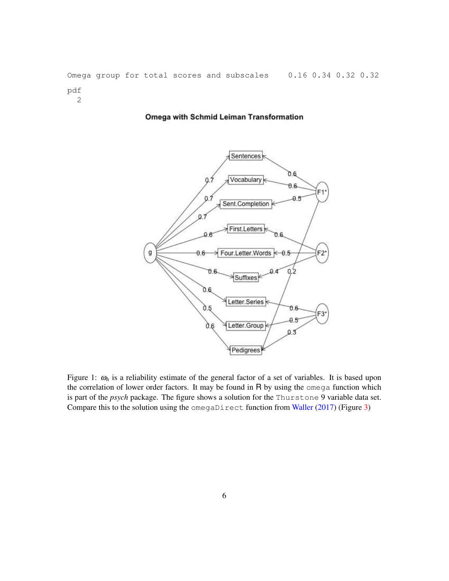Omega group for total scores and subscales 0.16 0.34 0.32 0.32 pdf 2

#### Omega with Schmid Leiman Transformation



Figure 1:  $\omega_h$  is a reliability estimate of the general factor of a set of variables. It is based upon the correlation of lower order factors. It may be found in R by using the omega function which is part of the *psych* package. The figure shows a solution for the Thurstone 9 variable data set. Compare this to the solution using the omegaDirect function from Waller (2017) (Figure 3)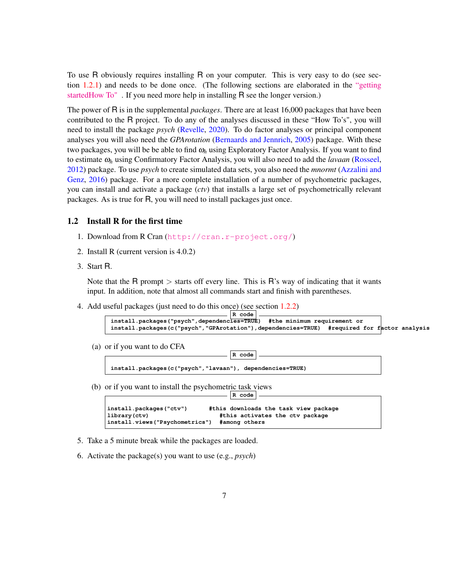To use R obviously requires installing R on your computer. This is very easy to do (see section 1.2.1) and needs to be done once. (The following sections are elaborated in the ["getting](https://personality-project.org/r/psych/HowTo/getting_started.pdf) [startedHow To"](https://personality-project.org/r/psych/HowTo/getting_started.pdf) . If you need more help in installing R see the longer version.)

The power of R is in the supplemental *packages*. There are at least 16,000 packages that have been contributed to the R project. To do any of the analyses discussed in these "How To's", you will need to install the package *psych* (Revelle, 2020). To do factor analyses or principal component analyses you will also need the *GPArotation* (Bernaards and Jennrich, 2005) package. With these two packages, you will be be able to find <sup>ω</sup>*<sup>h</sup>* using Exploratory Factor Analysis. If you want to find to estimate <sup>ω</sup>*<sup>h</sup>* using Confirmatory Factor Analysis, you will also need to add the *lavaan* (Rosseel, 2012) package. To use *psych* to create simulated data sets, you also need the *mnormt* (Azzalini and Genz, 2016) package. For a more complete installation of a number of psychometric packages, you can install and activate a package (*ctv*) that installs a large set of psychometrically relevant packages. As is true for R, you will need to install packages just once.

#### 1.2 Install R for the first time

- 1. Download from R Cran (<http://cran.r-project.org/>)
- 2. Install R (current version is 4.0.2)
- 3. Start R.

Note that the R prompt  $>$  starts off every line. This is R's way of indicating that it wants input. In addition, note that almost all commands start and finish with parentheses.

**R code**

4. Add useful packages (just need to do this once) (see section 1.2.2)

| $R$ code                                                                                   |  |
|--------------------------------------------------------------------------------------------|--|
| install.packages ("psych", dependencies=TRUE) #the minimum requirement or                  |  |
| install.packages(c("psych","GPArotation"),dependencies=TRUE) #required for factor analysis |  |
|                                                                                            |  |

(a) or if you want to do CFA

| install.packages(c("psych","lavaan"), dependencies=TRUE) |  |
|----------------------------------------------------------|--|

(b) or if you want to install the psychometric task views **R code**

| install.packages("ctv")        | #this downloads the task view package |
|--------------------------------|---------------------------------------|
| library (ctv)                  | #this activates the ctv package       |
| install.views("Psychometrics") | #among others                         |

- 5. Take a 5 minute break while the packages are loaded.
- 6. Activate the package(s) you want to use (e.g., *psych*)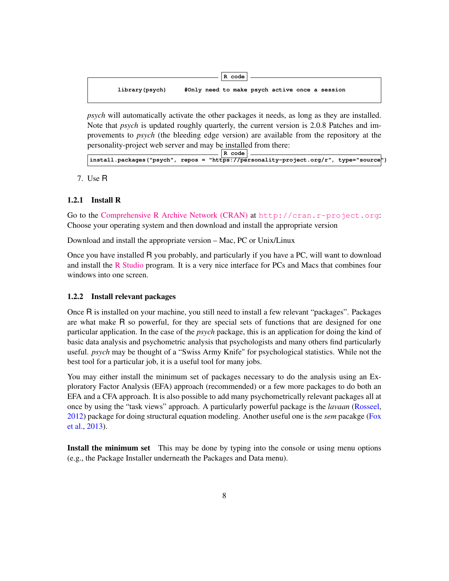

*psych* will automatically activate the other packages it needs, as long as they are installed. Note that *psych* is updated roughly quarterly, the current version is 2.0.8 Patches and improvements to *psych* (the bleeding edge version) are available from the repository at the personality-project web server and may be installed from there:

**R code** install.packages("psych", repos = "https://personality-project.org/r", type="source<sup>"</sup>)

7. Use R

#### 1.2.1 Install R

Go to the [Comprehensive R Archive Network \(CRAN\)](http://cran.r-project.org) at <http://cran.r-project.org>: Choose your operating system and then download and install the appropriate version

Download and install the appropriate version – Mac, PC or Unix/Linux

Once you have installed R you probably, and particularly if you have a PC, will want to download and install the [R Studio](https://www.rstudio.com) program. It is a very nice interface for PCs and Macs that combines four windows into one screen.

#### 1.2.2 Install relevant packages

Once R is installed on your machine, you still need to install a few relevant "packages". Packages are what make R so powerful, for they are special sets of functions that are designed for one particular application. In the case of the *psych* package, this is an application for doing the kind of basic data analysis and psychometric analysis that psychologists and many others find particularly useful. *psych* may be thought of a "Swiss Army Knife" for psychological statistics. While not the best tool for a particular job, it is a useful tool for many jobs.

You may either install the minimum set of packages necessary to do the analysis using an Exploratory Factor Analysis (EFA) approach (recommended) or a few more packages to do both an EFA and a CFA approach. It is also possible to add many psychometrically relevant packages all at once by using the "task views" approach. A particularly powerful package is the *lavaan* (Rosseel, 2012) package for doing structural equation modeling. Another useful one is the *sem* pacakge (Fox et al., 2013).

Install the minimum set This may be done by typing into the console or using menu options (e.g., the Package Installer underneath the Packages and Data menu).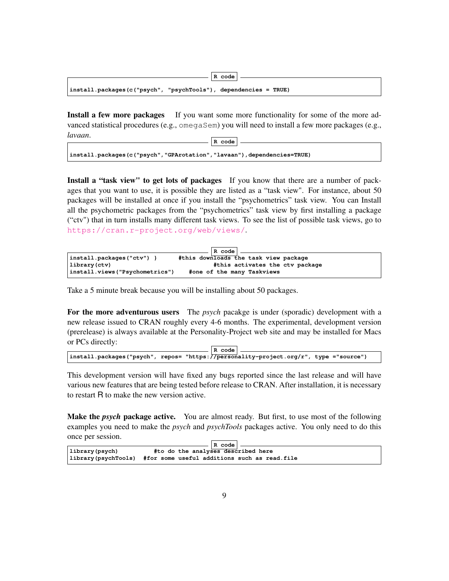|                                                                 | R code |
|-----------------------------------------------------------------|--------|
| install.packages(c("psych", "psychTools"), dependencies = TRUE) |        |

Install a few more packages If you want some more functionality for some of the more advanced statistical procedures (e.g., omegaSem) you will need to install a few more packages (e.g., *lavaan*. **R code**

**install.packages(c("psych","GPArotation","lavaan"),dependencies=TRUE)**

Install a "task view" to get lots of packages If you know that there are a number of packages that you want to use, it is possible they are listed as a "task view". For instance, about 50 packages will be installed at once if you install the "psychometrics" task view. You can Install all the psychometric packages from the "psychometrics" task view by first installing a package ("ctv") that in turn installs many different task views. To see the list of possible task views, go to <https://cran.r-project.org/web/views/>.

|                                 | $R \text{ code}$                      |
|---------------------------------|---------------------------------------|
| $\{install, packages('ctv")\}$  | #this downloads the task view package |
| Library (ctv)                   | #this activates the ctv package       |
| install.views ("Psychometrics") | #one of the many Taskviews            |

Take a 5 minute break because you will be installing about 50 packages.

For the more adventurous users The *psych* pacakge is under (sporadic) development with a new release issued to CRAN roughly every 4-6 months. The experimental, development version (prerelease) is always available at the Personality-Project web site and may be installed for Macs or PCs directly:

| $ R \text{ code }$                                                                    |  |
|---------------------------------------------------------------------------------------|--|
| install.packages("psych", repos= "https://personality-project.org/r", type ="source") |  |

This development version will have fixed any bugs reported since the last release and will have various new features that are being tested before release to CRAN. After installation, it is necessary to restart R to make the new version active.

Make the *psych* package active. You are almost ready. But first, to use most of the following examples you need to make the *psych* and *psychTools* packages active. You only need to do this once per session.

| R code                                                                   |
|--------------------------------------------------------------------------|
| #to do the analyses described here                                       |
|                                                                          |
| $\vert$ library(psychTools) #for some useful additions such as read.file |
|                                                                          |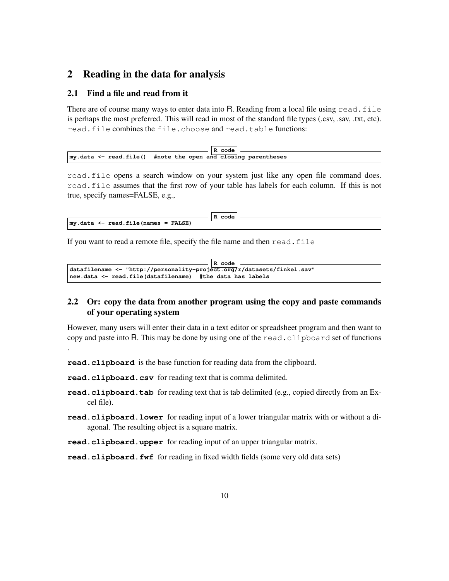## 2 Reading in the data for analysis

#### 2.1 Find a file and read from it

There are of course many ways to enter data into R. Reading from a local file using read. file is perhaps the most preferred. This will read in most of the standard file types (.csv, .sav, .txt, etc). read.file combines the file.choose and read.table functions:

|                                                                             | R code |  |
|-----------------------------------------------------------------------------|--------|--|
| $\vert$ my. data $\leq$ read. file() #note the open and closing parentheses |        |  |

read.file opens a search window on your system just like any open file command does. read.file assumes that the first row of your table has labels for each column. If this is not true, specify names=FALSE, e.g.,

|                                             | code<br>D |  |
|---------------------------------------------|-----------|--|
| $\vert$ my.data <- read.file(names = FALSE) |           |  |

If you want to read a remote file, specify the file name and then read.file

```
R code
datafilename <- "http://personality-project.org/r/datasets/finkel.sav"
new.data <- read.file(datafilename) #the data has labels
```
#### 2.2 Or: copy the data from another program using the copy and paste commands of your operating system

However, many users will enter their data in a text editor or spreadsheet program and then want to copy and paste into R. This may be done by using one of the read.clipboard set of functions .

**read.clipboard** is the base function for reading data from the clipboard.

**read.clipboard.csv** for reading text that is comma delimited.

- **read.clipboard.tab** for reading text that is tab delimited (e.g., copied directly from an Excel file).
- **read.clipboard.lower** for reading input of a lower triangular matrix with or without a diagonal. The resulting object is a square matrix.

**read.clipboard.upper** for reading input of an upper triangular matrix.

**read.clipboard.fwf** for reading in fixed width fields (some very old data sets)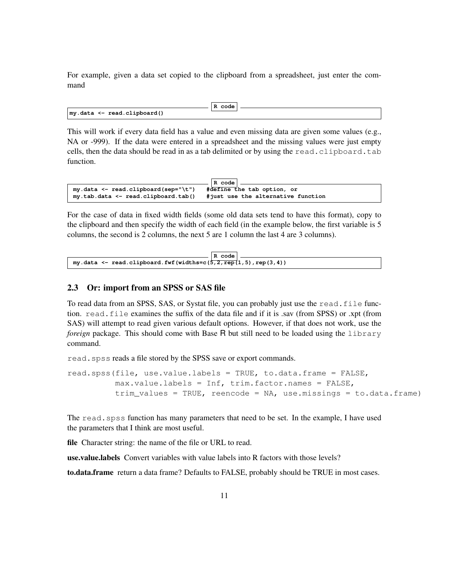For example, given a data set copied to the clipboard from a spreadsheet, just enter the command

|                                     | . code<br>D<br>к. |  |
|-------------------------------------|-------------------|--|
| $\vert$ my.data <- read.clipboard() |                   |  |

This will work if every data field has a value and even missing data are given some values (e.g., NA or -999). If the data were entered in a spreadsheet and the missing values were just empty cells, then the data should be read in as a tab delimited or by using the read.clipboard.tab function.

|                                                                        | $\vert$ R code $\vert$     |
|------------------------------------------------------------------------|----------------------------|
| my.data <- read.clipboard(sep="\t")                                    | #define the tab option, or |
| my.tab.data <- read.clipboard.tab() #just use the alternative function |                            |

For the case of data in fixed width fields (some old data sets tend to have this format), copy to the clipboard and then specify the width of each field (in the example below, the first variable is 5 columns, the second is 2 columns, the next 5 are 1 column the last 4 are 3 columns).

|                                                                        | R code |  |
|------------------------------------------------------------------------|--------|--|
| my.data $\le$ read.clipboard.fwf (widths=c( $5, 2,$ rep(1,5),rep(3,4)) |        |  |

#### 2.3 Or: import from an SPSS or SAS file

To read data from an SPSS, SAS, or Systat file, you can probably just use the read. file function. read.file examines the suffix of the data file and if it is .sav (from SPSS) or .xpt (from SAS) will attempt to read given various default options. However, if that does not work, use the *foreign* package. This should come with Base R but still need to be loaded using the library command.

read.spss reads a file stored by the SPSS save or export commands.

```
read.spss(file, use.value.labels = TRUE, to.data.frame = FALSE,
          max.value.labels = Inf, trim.factor.names = FALSE,
          trim_values = TRUE, reencode = NA, use.missings = to.data.frame)
```
The read.spss function has many parameters that need to be set. In the example, I have used the parameters that I think are most useful.

file Character string: the name of the file or URL to read.

use.value.labels Convert variables with value labels into R factors with those levels?

to.data.frame return a data frame? Defaults to FALSE, probably should be TRUE in most cases.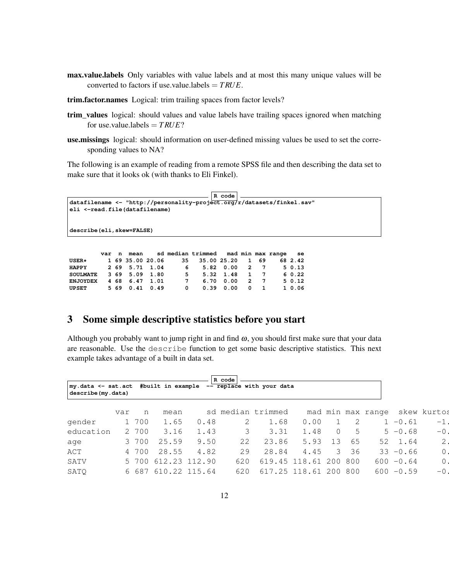- max.value.labels Only variables with value labels and at most this many unique values will be converted to factors if use.value.labels = *T RUE*.
- trim.factor.names Logical: trim trailing spaces from factor levels?
- trim\_values logical: should values and value labels have trailing spaces ignored when matching for use.value.labels  $= TRUE$ ?
- use.missings logical: should information on user-defined missing values be used to set the corresponding values to NA?

The following is an example of reading from a remote SPSS file and then describing the data set to make sure that it looks ok (with thanks to Eli Finkel).

```
R code
datafilename <- "http://personality-project.org/r/datasets/finkel.sav"
eli <-read.file(datafilename)
describe(eli,skew=FALSE)
```

|                            |  |                |                  | var n mean sd median trimmed mad min max range se |  |  |        |
|----------------------------|--|----------------|------------------|---------------------------------------------------|--|--|--------|
| $\mathtt{USER}{}{\star}{}$ |  |                | 1 69 35.00 20.06 | 35 35.00 25.20 1 69 68 2.42                       |  |  |        |
| <b>HAPPY</b>               |  | 2 69 5.71 1.04 |                  | 6 5.82 0.00 2 7 5 0.13                            |  |  |        |
| SOULMATE 3 69 5.09 1.80    |  |                |                  | 5 5.32 1.48 1 7                                   |  |  | 6 0.22 |
| <b>ENJOYDEX</b>            |  | 4 68 6.47 1.01 |                  | 7 6.70 0.00 2 7                                   |  |  | 50.12  |
| UPSET 5 69 0.41 0.49       |  |                |                  | $0$ 0.39 0.00 0 1                                 |  |  | 1 0.06 |

## 3 Some simple descriptive statistics before you start

Although you probably want to jump right in and find  $\omega$ , you should first make sure that your data are reasonable. Use the describe function to get some basic descriptive statistics. This next example takes advantage of a built in data set.

| my.data <- sat.act #built in example<br>describe (my.data) |     |       |               |               | R code<br>-- replace with your data |                   |                   |          |      |              |                               |
|------------------------------------------------------------|-----|-------|---------------|---------------|-------------------------------------|-------------------|-------------------|----------|------|--------------|-------------------------------|
|                                                            | var | n     | mean          |               |                                     | sd median trimmed |                   |          |      |              | mad min max range skew kurtos |
| gender                                                     |     | 1 700 | 1.65          | 0.48          | 2                                   | 1.68              | 0.00              |          | 2    | $1 - 0.61$   | $-1$ .                        |
| education                                                  |     | 2 700 | 3.16          | 1.43          | 3                                   | 3.31              | 1.48              | $\Omega$ | 5    | $5 - 0.68$   | $-0$                          |
| age                                                        |     | 3 700 | 25.59         | 9.50          | 22                                  | 23.86             | 5.93              | 13       | 65   | 52 1.64      | 2                             |
| ACT                                                        |     | 4 700 | 28.55         | 4.82          | 29                                  | 28.84             | 4.45              | 3        | 36   | $33 - 0.66$  | $\circ$                       |
| SATV                                                       |     | 5 700 | 612.23 112.90 |               | 620                                 |                   | 619.45 118.61 200 |          | 800  | $600 - 0.64$ | $\circ$                       |
| SATO                                                       |     | 6687  |               | 610.22 115.64 | 620                                 |                   | 617.25 118.61 200 |          | -800 | $600 - 0.59$ | $-0$                          |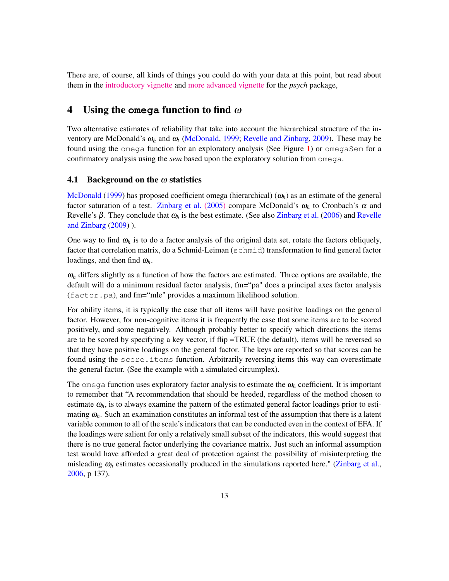There are, of course, all kinds of things you could do with your data at this point, but read about them in the [introductory vignette](http://cran.r-project.org/web/packages/psych/vignettes/intro.pdf) and [more advanced vignette](http://cran.r-project.org/web/packages/psychTools/vignettes/overview.pdf) for the *psych* package,

### 4 Using the **omega** function to find <sup>ω</sup>

Two alternative estimates of reliability that take into account the hierarchical structure of the inventory are McDonald's <sup>ω</sup>*<sup>h</sup>* and <sup>ω</sup>*<sup>t</sup>* (McDonald, 1999; Revelle and Zinbarg, 2009). These may be found using the omega function for an exploratory analysis (See Figure 1) or omegaSem for a confirmatory analysis using the *sem* based upon the exploratory solution from omega.

#### 4.1 Background on the  $\omega$  statistics

McDonald (1999) has proposed coefficient omega (hierarchical) ( $\omega_h$ ) as an estimate of the general factor saturation of a test. [Zinbarg et al.](http://personality-project.org/revelle/publications/zinbarg.revelle.pmet.05.pdf) (2005) compare McDonald's  $\omega_h$  to Cronbach's  $\alpha$  and Revelle's  $\beta$ . They conclude that  $\omega_h$  is the best estimate. (See also Zinbarg et al. (2006) and Revelle and Zinbarg (2009) ).

One way to find  $\omega_h$  is to do a factor analysis of the original data set, rotate the factors obliquely, factor that correlation matrix, do a Schmid-Leiman (schmid) transformation to find general factor loadings, and then find  $\omega_h$ .

 $\omega_h$  differs slightly as a function of how the factors are estimated. Three options are available, the default will do a minimum residual factor analysis, fm="pa" does a principal axes factor analysis (factor.pa), and fm="mle" provides a maximum likelihood solution.

For ability items, it is typically the case that all items will have positive loadings on the general factor. However, for non-cognitive items it is frequently the case that some items are to be scored positively, and some negatively. Although probably better to specify which directions the items are to be scored by specifying a key vector, if flip =TRUE (the default), items will be reversed so that they have positive loadings on the general factor. The keys are reported so that scores can be found using the score.items function. Arbitrarily reversing items this way can overestimate the general factor. (See the example with a simulated circumplex).

The omega function uses exploratory factor analysis to estimate the  $\omega_h$  coefficient. It is important to remember that "A recommendation that should be heeded, regardless of the method chosen to estimate  $\omega_h$ , is to always examine the pattern of the estimated general factor loadings prior to estimating  $\omega_h$ . Such an examination constitutes an informal test of the assumption that there is a latent variable common to all of the scale's indicators that can be conducted even in the context of EFA. If the loadings were salient for only a relatively small subset of the indicators, this would suggest that there is no true general factor underlying the covariance matrix. Just such an informal assumption test would have afforded a great deal of protection against the possibility of misinterpreting the misleading  $\omega_h$  estimates occasionally produced in the simulations reported here." (Zinbarg et al., 2006, p 137).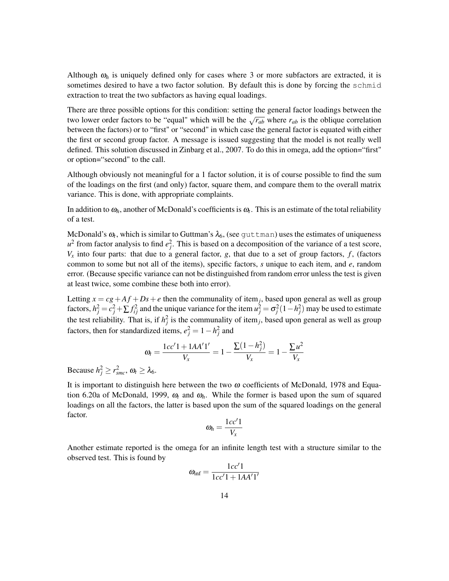Although  $\omega_h$  is uniquely defined only for cases where 3 or more subfactors are extracted, it is sometimes desired to have a two factor solution. By default this is done by forcing the schmid extraction to treat the two subfactors as having equal loadings.

There are three possible options for this condition: setting the general factor loadings between the two lower order factors to be "equal" which will be the  $\sqrt{r_{ab}}$  where  $r_{ab}$  is the oblique correlation between the factors) or to "first" or "second" in which case the general factor is equated with either the first or second group factor. A message is issued suggesting that the model is not really well defined. This solution discussed in Zinbarg et al., 2007. To do this in omega, add the option="first" or option="second" to the call.

Although obviously not meaningful for a 1 factor solution, it is of course possible to find the sum of the loadings on the first (and only) factor, square them, and compare them to the overall matrix variance. This is done, with appropriate complaints.

In addition to  $\omega_h$ , another of McDonald's coefficients is  $\omega_t$ . This is an estimate of the total reliability of a test.

McDonald's  $\omega_t$ , which is similar to Guttman's  $\lambda_6$ , (see  $\texttt{guttman}$ ) uses the estimates of uniqueness  $u^2$  from factor analysis to find  $e_j^2$ . This is based on a decomposition of the variance of a test score,  $V_x$  into four parts: that due to a general factor, *g*, that due to a set of group factors, *f*, (factors common to some but not all of the items), specific factors, *s* unique to each item, and *e*, random error. (Because specific variance can not be distinguished from random error unless the test is given at least twice, some combine these both into error).

Letting  $x = cg + Af + Ds + e$  then the communality of item<sub>j</sub>, based upon general as well as group factors,  $h_j^2 = c_j^2 + \sum f_{ij}^2$  and the unique variance for the item  $u_j^2 = \sigma_j^2 (1 - h_j^2)$  may be used to estimate the test reliability. That is, if  $h_j^2$  is the communality of item<sub>j</sub>, based upon general as well as group factors, then for standardized items,  $e_j^2 = 1 - h_j^2$  and

$$
\omega_t = \frac{1cc'1 + 1AA'1'}{V_x} = 1 - \frac{\sum (1 - h_j^2)}{V_x} = 1 - \frac{\sum u^2}{V_x}
$$

Because  $h_j^2 \ge r_{smc}^2$ ,  $\omega_t \ge \lambda_6$ .

It is important to distinguish here between the two  $\omega$  coefficients of McDonald, 1978 and Equation 6.20a of McDonald, 1999,  $\omega_t$  and  $\omega_h$ . While the former is based upon the sum of squared loadings on all the factors, the latter is based upon the sum of the squared loadings on the general factor.

$$
\omega_h = \frac{1cc'1}{V_x}
$$

Another estimate reported is the omega for an infinite length test with a structure similar to the observed test. This is found by

$$
\omega_{\text{inf}} = \frac{1cc'1}{1cc'1 + 1AA'1'}
$$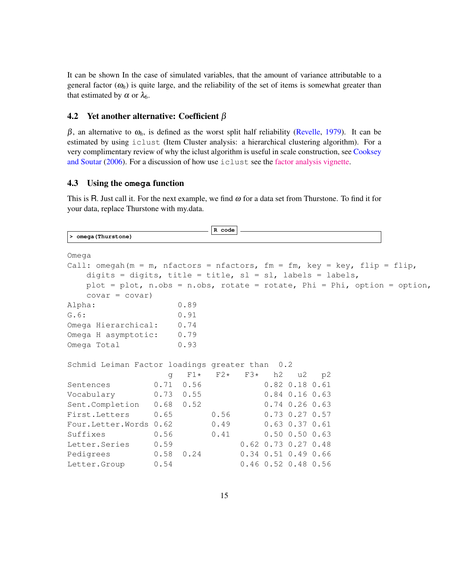It can be shown In the case of simulated variables, that the amount of variance attributable to a general factor  $(\omega_h)$  is quite large, and the reliability of the set of items is somewhat greater than that estimated by  $\alpha$  or  $\lambda_6$ .

#### 4.2 Yet another alternative: Coefficient  $\beta$

 $β$ , an alternative to  $ω<sub>h</sub>$ , is defined as the worst split half reliability (Revelle, 1979). It can be estimated by using iclust (Item Cluster analysis: a hierarchical clustering algorithm). For a very complimentary review of why the iclust algorithm is useful in scale construction, see Cooksey and Soutar (2006). For a discussion of how use iclust see the [factor analysis vignette.](http://cran.r-project.org/web/packages/psychTools/vignettes/factor.pdf)

#### 4.3 Using the **omega** function

 $\Gamma$ 

This is R. Just call it. For the next example, we find  $\omega$  for a data set from Thurstone. To find it for your data, replace Thurstone with my.data.

**R code**

| > omega (Thurstone)                                                        |          |               |                            |  |                       |                             |  |
|----------------------------------------------------------------------------|----------|---------------|----------------------------|--|-----------------------|-----------------------------|--|
| Omega                                                                      |          |               |                            |  |                       |                             |  |
|                                                                            |          |               |                            |  |                       |                             |  |
| Call: omegah (m = m, nfactors = nfactors, fm = fm, key = key, flip = flip, |          |               |                            |  |                       |                             |  |
| digits = digits, title = title, sl = sl, labels = labels,                  |          |               |                            |  |                       |                             |  |
| plot = plot, n.obs = n.obs, rotate = rotate, Phi = Phi, option = option,   |          |               |                            |  |                       |                             |  |
| $covar = covar$ )                                                          |          |               |                            |  |                       |                             |  |
| Alpha:                                                                     |          | 0.89          |                            |  |                       |                             |  |
| G.6:                                                                       |          | 0.91          |                            |  |                       |                             |  |
| Omega Hierarchical: 0.74                                                   |          |               |                            |  |                       |                             |  |
| Omega H asymptotic: 0.79                                                   |          |               |                            |  |                       |                             |  |
| Omega Total                                                                |          | 0.93          |                            |  |                       |                             |  |
| Schmid Leiman Factor loadings greater than 0.2                             |          |               |                            |  |                       |                             |  |
|                                                                            | $\alpha$ |               | $F1*$ $F2*$ $F3*$ h2 u2 p2 |  |                       |                             |  |
| Sentences                                                                  |          | $0.71$ $0.56$ |                            |  | $0.82$ $0.18$ $0.61$  |                             |  |
| Vocabulary 0.73 0.55                                                       |          |               |                            |  |                       | $0.84$ $0.16$ $0.63$        |  |
| Sent.Completion 0.68 0.52                                                  |          |               |                            |  |                       | $0.74$ 0.26 0.63            |  |
| First.Letters 0.65                                                         |          |               | 0.56                       |  |                       | $0.73$ $0.27$ $0.57$        |  |
| Four.Letter.Words 0.62                                                     |          |               | 0.49                       |  |                       | $0.63$ $0.37$ $0.61$        |  |
| Suffixes                                                                   | 0.56     |               | 0.41                       |  |                       | $0.50$ $0.50$ $0.63$        |  |
| Letter.Series 0.59                                                         |          |               |                            |  |                       | $0.62$ $0.73$ $0.27$ $0.48$ |  |
| Pedigrees 0.58 0.24                                                        |          |               |                            |  |                       | $0.34$ $0.51$ $0.49$ $0.66$ |  |
| Letter.Group 0.54                                                          |          |               |                            |  | $0.46$ 0.52 0.48 0.56 |                             |  |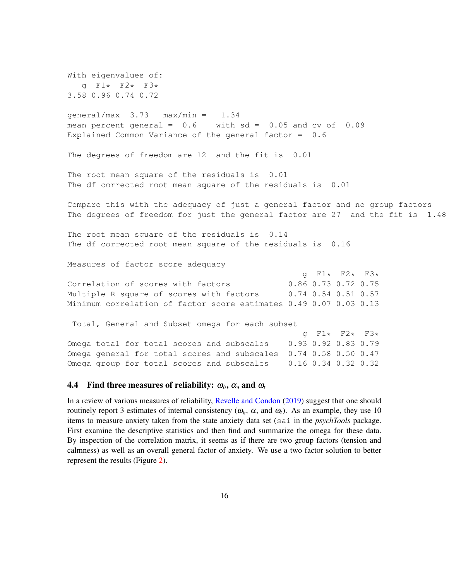With eigenvalues of: g F1\* F2\* F3\* 3.58 0.96 0.74 0.72

qeneral/max  $3.73$  max/min =  $1.34$ mean percent general =  $0.6$  with sd =  $0.05$  and cv of  $0.09$ Explained Common Variance of the general factor = 0.6

The degrees of freedom are 12 and the fit is 0.01

The root mean square of the residuals is 0.01 The df corrected root mean square of the residuals is 0.01

Compare this with the adequacy of just a general factor and no group factors The degrees of freedom for just the general factor are 27 and the fit is 1.48

The root mean square of the residuals is 0.14 The df corrected root mean square of the residuals is 0.16

Measures of factor score adequacy

g F1\* F2\* F3\* Correlation of scores with factors 0.86 0.73 0.72 0.75 Multiple R square of scores with factors 0.74 0.54 0.51 0.57 Minimum correlation of factor score estimates 0.49 0.07 0.03 0.13

Total, General and Subset omega for each subset

|                                                                  |                     | q F1* F2* F3* |  |
|------------------------------------------------------------------|---------------------|---------------|--|
| Omega total for total scores and subscales                       | 0.93 0.92 0.83 0.79 |               |  |
| Omega general for total scores and subscales 0.74 0.58 0.50 0.47 |                     |               |  |
| Omega group for total scores and subscales 0.16 0.34 0.32 0.32   |                     |               |  |

#### **4.4** Find three measures of reliability:  $\omega_h$ ,  $\alpha$ , and  $\omega_t$

In a review of various measures of reliability, Revelle and Condon (2019) suggest that one should routinely report 3 estimates of internal consistency ( $ω<sub>h</sub>$ ,  $α$ , and  $ω<sub>t</sub>$ ). As an example, they use 10 items to measure anxiety taken from the state anxiety data set (sai in the *psychTools* package. First examine the descriptive statistics and then find and summarize the omega for these data. By inspection of the correlation matrix, it seems as if there are two group factors (tension and calmness) as well as an overall general factor of anxiety. We use a two factor solution to better represent the results (Figure 2).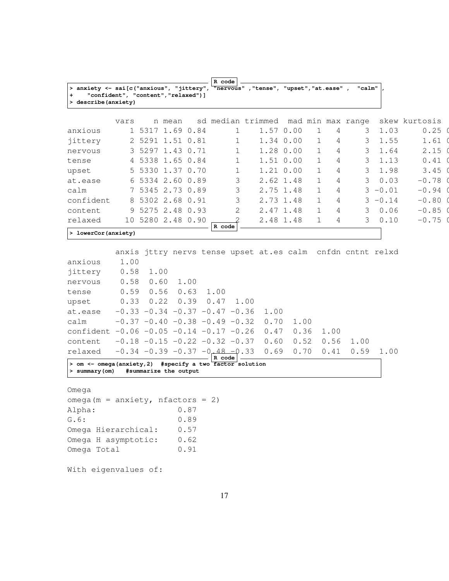|                                                                                       |      |                       |        |      | R code                                  |                                                            |      |              |      |        |            |               |
|---------------------------------------------------------------------------------------|------|-----------------------|--------|------|-----------------------------------------|------------------------------------------------------------|------|--------------|------|--------|------------|---------------|
| > anxiety <- sai[c("anxious", "jittery",<br>"confident", "content", "relaxed") ]<br>+ |      |                       |        |      |                                         | "nervous", "tense", "upset", "at.ease",                    |      |              |      | "calm" |            |               |
| > describe (anxiety)                                                                  |      |                       |        |      |                                         |                                                            |      |              |      |        |            |               |
|                                                                                       |      |                       |        |      |                                         |                                                            |      |              |      |        |            |               |
|                                                                                       | vars |                       | n mean |      |                                         | sd median trimmed mad min max range                        |      |              |      |        |            | skew kurtosis |
| anxious                                                                               |      | 1 5317 1.69 0.84      |        |      | $\mathbf{1}$                            | 1.57 0.00                                                  |      | $\mathbf{1}$ | 4    | 3      | 1.03       | 0.25          |
| jittery                                                                               |      | 2 5291 1.51 0.81      |        |      | $\mathbf{1}$                            | 1.34 0.00                                                  |      | $\mathbf{1}$ | 4    | 3      | 1.55       | 1.61          |
| nervous                                                                               |      | 3 5297 1.43 0.71      |        |      | $\mathbf 1$                             | 1.28 0.00                                                  |      | $\mathbf{1}$ | 4    | 3      | 1.64       | 2.15          |
| tense                                                                                 |      | 4 5338 1.65 0.84      |        |      | $\mathbf{1}$                            | 1.51 0.00                                                  |      | $\mathbf{1}$ | 4    | 3      | 1.13       | 0.41          |
| upset                                                                                 |      | 5 5330 1.37 0.70      |        |      | $\mathbf{1}$                            | $1.21 \ 0.00$                                              |      | $\mathbf{1}$ | 4    | 3      | 1.98       | 3.45          |
| at.ease                                                                               |      | 6 5334 2.60 0.89      |        |      | 3                                       | 2.62 1.48                                                  |      | $\mathbf{1}$ | 4    | 3      | 0.03       | $-0.78$       |
| calm                                                                                  |      | 7 5345 2.73 0.89      |        |      | 3                                       | 2.75 1.48                                                  |      | $\mathbf{1}$ | 4    |        | $3 - 0.01$ | $-0.94$       |
| confident                                                                             |      | 8 5302 2.68 0.91      |        |      | 3                                       | 2.73 1.48                                                  |      | $\mathbf{1}$ | 4    |        | $3 - 0.14$ | $-0.80$       |
| content                                                                               |      | 9 5275 2.48 0.93      |        |      | 2                                       | 2.47 1.48                                                  |      | $\mathbf{1}$ | 4    | 3      | 0.06       | $-0.85$       |
| relaxed                                                                               |      | 10 5280 2.48 0.90     |        |      | $\mathcal{D}$                           | 2.48 1.48                                                  |      | $\mathbf{1}$ | 4    | 3      | 0.10       | $-0.75$       |
| > lowerCor(anxiety)                                                                   |      |                       |        |      | R code                                  |                                                            |      |              |      |        |            |               |
|                                                                                       |      |                       |        |      |                                         |                                                            |      |              |      |        |            |               |
|                                                                                       |      |                       |        |      |                                         | anxis jttry nervs tense upset at.es calm cnfdn cntnt relxd |      |              |      |        |            |               |
| anxious                                                                               | 1.00 |                       |        |      |                                         |                                                            |      |              |      |        |            |               |
| jittery                                                                               | 0.58 | 1.00                  |        |      |                                         |                                                            |      |              |      |        |            |               |
| nervous                                                                               | 0.58 | 0.60                  |        | 1.00 |                                         |                                                            |      |              |      |        |            |               |
| tense                                                                                 | 0.59 | 0.56                  |        | 0.63 | 1.00                                    |                                                            |      |              |      |        |            |               |
| upset                                                                                 | 0.33 | 0.22                  |        | 0.39 | 0.47                                    | 1.00                                                       |      |              |      |        |            |               |
| at.ease                                                                               |      |                       |        |      | $-0.33 -0.34 -0.37 -0.47 -0.36$         | 1.00                                                       |      |              |      |        |            |               |
| calm                                                                                  |      |                       |        |      | $-0.37 -0.40 -0.38 -0.49 -0.32$         | 0.70                                                       | 1.00 |              |      |        |            |               |
| confident $-0.06 -0.05 -0.14 -0.17 -0.26$                                             |      |                       |        |      |                                         | 0.47                                                       | 0.36 |              | 1.00 |        |            |               |
| content                                                                               |      |                       |        |      | $-0.18$ $-0.15$ $-0.22$ $-0.32$ $-0.37$ | 0.60                                                       | 0.52 |              | 0.56 | 1.00   |            |               |
| relaxed                                                                               |      |                       |        |      | $-0.34 -0.39 -0.37 -0.48 -0.33$         | 0.69                                                       | 0.70 |              | 0.41 | 0.59   | 1.00       |               |
| > om <- omega (anxiety, 2) #specify a two factor solution                             |      |                       |        |      | R code                                  |                                                            |      |              |      |        |            |               |
| > summary (om)                                                                        |      | #summarize the output |        |      |                                         |                                                            |      |              |      |        |            |               |

Omega

| omega (m = anxiety, nfactors = 2) |      |  |
|-----------------------------------|------|--|
| Alpha:                            | 0.87 |  |
| G.6:                              | 0.89 |  |
| Omega Hierarchical:               | 0.57 |  |
| Omega H asymptotic:               | 0.62 |  |
| Omega Total                       | 0.91 |  |
|                                   |      |  |

With eigenvalues of: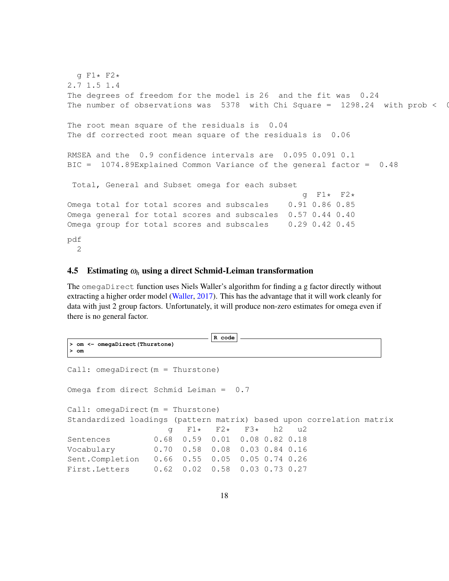```
g F1* F2*
2.7 1.5 1.4
The degrees of freedom for the model is 26 and the fit was 0.24
The number of observations was 5378 with Chi Square = 1298.24 with prob < 0
The root mean square of the residuals is 0.04
The df corrected root mean square of the residuals is 0.06
RMSEA and the 0.9 confidence intervals are 0.095 0.091 0.1
BIC = 1074.89Explained Common Variance of the general factor = 0.48
Total, General and Subset omega for each subset
                                                g F1* F2*
Omega total for total scores and subscales 0.91 0.86 0.85
Omega general for total scores and subscales 0.57 0.44 0.40
Omega group for total scores and subscales 0.29 0.42 0.45
pdf
 2
```
#### 4.5 Estimating <sup>ω</sup>*<sup>h</sup>* using a direct Schmid-Leiman transformation

The omegaDirect function uses Niels Waller's algorithm for finding a g factor directly without extracting a higher order model (Waller, 2017). This has the advantage that it will work cleanly for data with just 2 group factors. Unfortunately, it will produce non-zero estimates for omega even if there is no general factor.

```
R code
> om <- omegaDirect(Thurstone)
> om
Call: omegaDirect(m = Thurstone)
Omega from direct Schmid Leiman = 0.7
Call: omegaDirect(m = Thurstone)
Standardized loadings (pattern matrix) based upon correlation matrix
                    g F1* F2* F3* h2 u2
Sentences 0.68 0.59 0.01 0.08 0.82 0.18
Vocabulary 0.70 0.58 0.08 0.03 0.84 0.16
Sent.Completion 0.66 0.55 0.05 0.05 0.74 0.26
First.Letters 0.62 0.02 0.58 0.03 0.73 0.27
```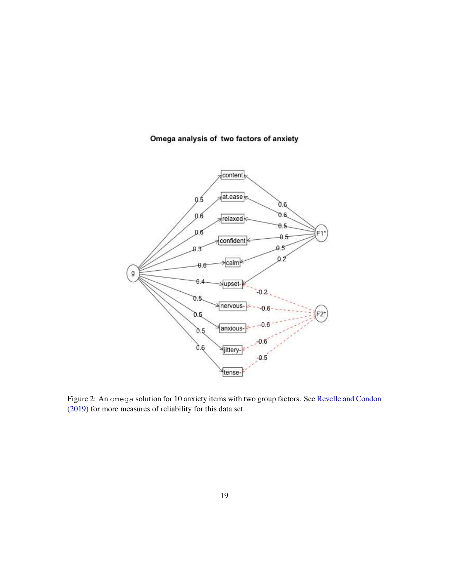## Omega analysis of two factors of anxiety



Figure 2: An omega solution for 10 anxiety items with two group factors. See Revelle and Condon (2019) for more measures of reliability for this data set.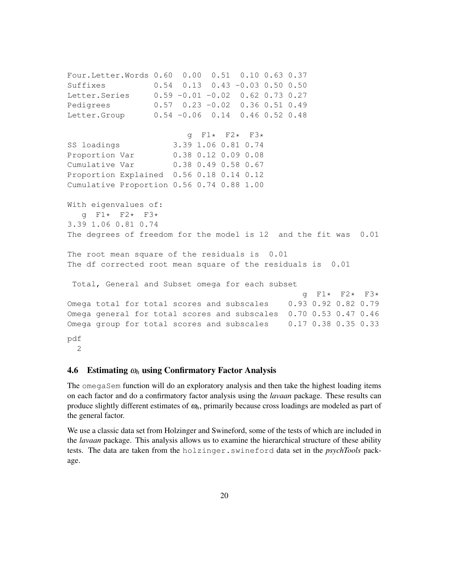Four.Letter.Words 0.60 0.00 0.51 0.10 0.63 0.37 Suffixes 0.54 0.13 0.43 -0.03 0.50 0.50 Letter.Series 0.59 -0.01 -0.02 0.62 0.73 0.27 Pedigrees 0.57 0.23 -0.02 0.36 0.51 0.49 Letter.Group 0.54 -0.06 0.14 0.46 0.52 0.48 q F1 $\star$  F2 $\star$  F3 $\star$ SS loadings 3.39 1.06 0.81 0.74 Proportion Var 0.38 0.12 0.09 0.08 Cumulative Var 0.38 0.49 0.58 0.67 Proportion Explained 0.56 0.18 0.14 0.12 Cumulative Proportion 0.56 0.74 0.88 1.00 With eigenvalues of: g F1\* F2\* F3\* 3.39 1.06 0.81 0.74 The degrees of freedom for the model is 12 and the fit was 0.01 The root mean square of the residuals is 0.01 The df corrected root mean square of the residuals is 0.01 Total, General and Subset omega for each subset g F1\* F2\* F3\* Omega total for total scores and subscales 0.93 0.92 0.82 0.79 Omega general for total scores and subscales 0.70 0.53 0.47 0.46 Omega group for total scores and subscales 0.17 0.38 0.35 0.33 pdf 2

#### 4.6 Estimating <sup>ω</sup>*<sup>h</sup>* using Confirmatory Factor Analysis

The omegaSem function will do an exploratory analysis and then take the highest loading items on each factor and do a confirmatory factor analysis using the *lavaan* package. These results can produce slightly different estimates of <sup>ω</sup>*h*, primarily because cross loadings are modeled as part of the general factor.

We use a classic data set from Holzinger and Swineford, some of the tests of which are included in the *lavaan* package. This analysis allows us to examine the hierarchical structure of these ability tests. The data are taken from the holzinger.swineford data set in the *psychTools* package.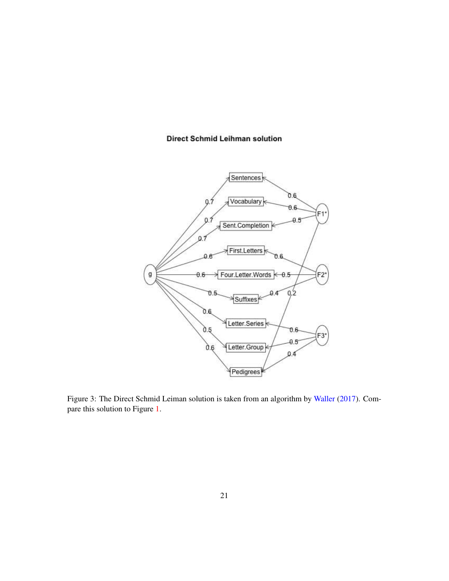#### **Direct Schmid Leihman solution**



Figure 3: The Direct Schmid Leiman solution is taken from an algorithm by Waller (2017). Compare this solution to Figure 1.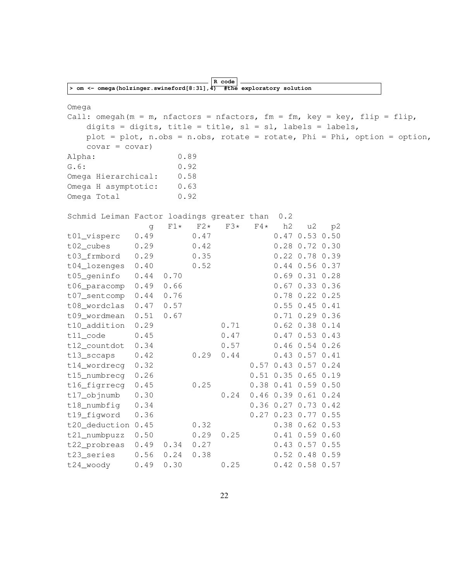|                                                                                      |      |       |       | R code |       |                             |                      |    |                                                                             |
|--------------------------------------------------------------------------------------|------|-------|-------|--------|-------|-----------------------------|----------------------|----|-----------------------------------------------------------------------------|
| > om <- omega (holzinger.swineford[8:31], $\overline{4}$ ) #the exploratory solution |      |       |       |        |       |                             |                      |    |                                                                             |
|                                                                                      |      |       |       |        |       |                             |                      |    |                                                                             |
| Omega<br>Call: omegah (m = m, nfactors = nfactors, fm = fm, key = key, flip = flip,  |      |       |       |        |       |                             |                      |    |                                                                             |
| digits = digits, title = title, sl = sl, labels = labels,                            |      |       |       |        |       |                             |                      |    |                                                                             |
|                                                                                      |      |       |       |        |       |                             |                      |    | plot = plot, $n.obs = n.obs$ , rotate = rotate, Phi = Phi, option = option, |
| $covar = covar$ )                                                                    |      |       |       |        |       |                             |                      |    |                                                                             |
| Alpha:                                                                               |      | 0.89  |       |        |       |                             |                      |    |                                                                             |
| G.6:                                                                                 |      | 0.92  |       |        |       |                             |                      |    |                                                                             |
| Omega Hierarchical:                                                                  |      | 0.58  |       |        |       |                             |                      |    |                                                                             |
| Omega H asymptotic:                                                                  |      | 0.63  |       |        |       |                             |                      |    |                                                                             |
| Omega Total                                                                          |      | 0.92  |       |        |       |                             |                      |    |                                                                             |
|                                                                                      |      |       |       |        |       |                             |                      |    |                                                                             |
| Schmid Leiman Factor loadings greater than                                           |      |       |       |        |       | 0.2                         |                      |    |                                                                             |
|                                                                                      | g    | $F1*$ | $F2*$ | $F3*$  | $F4*$ | h2                          | u2                   | p2 |                                                                             |
| t01_visperc                                                                          | 0.49 |       | 0.47  |        |       |                             | $0.47$ 0.53 0.50     |    |                                                                             |
| t02_cubes                                                                            | 0.29 |       | 0.42  |        |       |                             | 0.28 0.72 0.30       |    |                                                                             |
| t03_frmbord                                                                          | 0.29 |       | 0.35  |        |       |                             | $0.22$ 0.78 0.39     |    |                                                                             |
| t04_lozenges                                                                         | 0.40 |       | 0.52  |        |       |                             | $0.44$ 0.56 0.37     |    |                                                                             |
| t05_geninfo                                                                          | 0.44 | 0.70  |       |        |       |                             | $0.69$ $0.31$ $0.28$ |    |                                                                             |
| t06_paracomp                                                                         | 0.49 | 0.66  |       |        |       |                             | $0.67$ 0.33 0.36     |    |                                                                             |
| t07_sentcomp                                                                         | 0.44 | 0.76  |       |        |       |                             | $0.78$ 0.22 0.25     |    |                                                                             |
| t08_wordclas                                                                         | 0.47 | 0.57  |       |        |       |                             | $0.55$ 0.45 0.41     |    |                                                                             |
| t09_wordmean                                                                         | 0.51 | 0.67  |       |        |       |                             | $0.71$ $0.29$ $0.36$ |    |                                                                             |
| t10_addition                                                                         | 0.29 |       |       | 0.71   |       |                             | $0.62$ $0.38$ $0.14$ |    |                                                                             |
| $t11$ _code                                                                          | 0.45 |       |       | 0.47   |       |                             | $0.47$ 0.53 0.43     |    |                                                                             |
| t12_countdot                                                                         | 0.34 |       |       | 0.57   |       |                             | $0.46$ $0.54$ $0.26$ |    |                                                                             |
| t13_sccaps                                                                           | 0.42 |       | 0.29  | 0.44   |       |                             | $0.43$ 0.57 0.41     |    |                                                                             |
| t14_wordrecg                                                                         | 0.32 |       |       |        |       | $0.57$ 0.43 0.57 0.24       |                      |    |                                                                             |
| t15_numbrecq                                                                         | 0.26 |       |       |        |       | $0.51$ $0.35$ $0.65$ $0.19$ |                      |    |                                                                             |
| t16_figrrecg                                                                         | 0.45 |       | 0.25  |        |       | $0.38$ 0.41 0.59 0.50       |                      |    |                                                                             |
| t17_objnumb                                                                          | 0.30 |       |       | 0.24   |       | $0.46$ $0.39$ $0.61$ $0.24$ |                      |    |                                                                             |
| t18_numbfig                                                                          | 0.34 |       |       |        |       | 0.36 0.27 0.73 0.42         |                      |    |                                                                             |
| t19_figword                                                                          | 0.36 |       |       |        |       | 0.27 0.23 0.77 0.55         |                      |    |                                                                             |
| t20_deduction 0.45                                                                   |      |       | 0.32  |        |       |                             | $0.38$ 0.62 0.53     |    |                                                                             |
| t21_numbpuzz                                                                         | 0.50 |       | 0.29  | 0.25   |       |                             | $0.41$ 0.59 0.60     |    |                                                                             |
| t22_probreas                                                                         | 0.49 | 0.34  | 0.27  |        |       |                             | $0.43$ 0.57 0.55     |    |                                                                             |
| t23_series                                                                           | 0.56 | 0.24  | 0.38  |        |       |                             | $0.52$ 0.48 0.59     |    |                                                                             |
| t24_woody                                                                            | 0.49 | 0.30  |       | 0.25   |       |                             | $0.42$ 0.58 0.57     |    |                                                                             |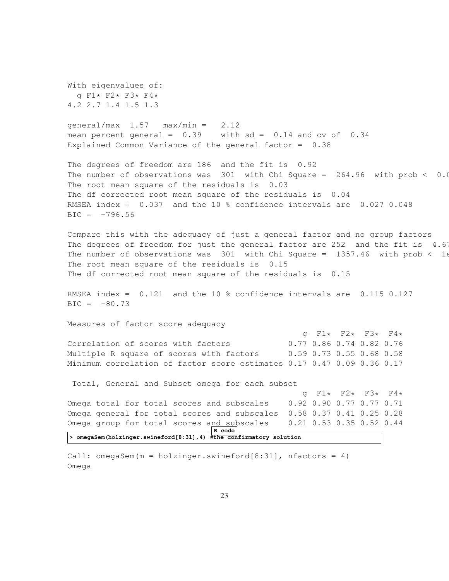With eigenvalues of: g F1\* F2\* F3\* F4\* 4.2 2.7 1.4 1.5 1.3  $general/max$  1.57  $max/min = 2.12$ mean percent general =  $0.39$  with sd =  $0.14$  and cv of  $0.34$ Explained Common Variance of the general factor = 0.38 The degrees of freedom are 186 and the fit is 0.92 The number of observations was  $301$  with Chi Square = 264.96 with prob < 0.0013 The root mean square of the residuals is 0.03 The df corrected root mean square of the residuals is 0.04 RMSEA index = 0.037 and the 10 % confidence intervals are 0.027 0.048  $BIC = -796.56$ Compare this with the adequacy of just a general factor and no group factors The degrees of freedom for just the general factor are 252 and the fit is  $4.67$ The number of observations was 301 with Chi Square = 1357.46 with prob < 16 The root mean square of the residuals is 0.15 The df corrected root mean square of the residuals is 0.15 RMSEA index = 0.121 and the 10 % confidence intervals are 0.115 0.127  $BIC = -80.73$ Measures of factor score adequacy g F1\* F2\* F3\* F4\* Correlation of scores with factors 0.77 0.86 0.74 0.82 0.76 Multiple R square of scores with factors 0.59 0.73 0.55 0.68 0.58 Minimum correlation of factor score estimates 0.17 0.47 0.09 0.36 0.17 Total, General and Subset omega for each subset g F1\* F2\* F3\* F4\*<br>0.92 0.90 0.77 0.77 0.71 Omega total for total scores and subscales Omega general for total scores and subscales 0.58 0.37 0.41 0.25 0.28 Omega group for total scores and subscales 0.21 0.53 0.35 0.52 0.44 **R code > omegaSem(holzinger.swineford[8:31],4) #the confirmatory solution** Call: omegaSem(m = holzinger.swineford[8:31], nfactors = 4)

23

Omega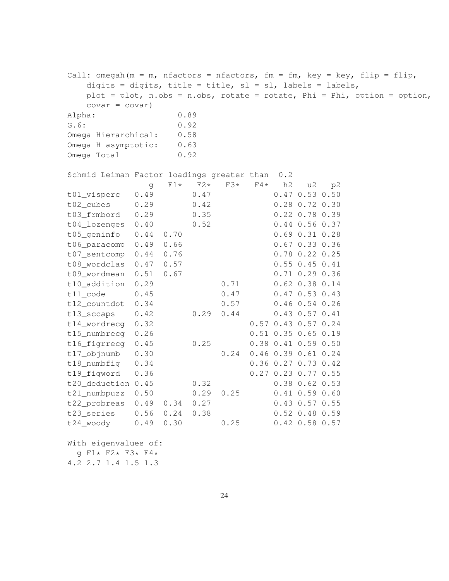Call: omegah(m = m, nfactors = nfactors, fm = fm, key = key, flip = flip, digits = digits, title = title,  $sl = sl$ , labels = labels, plot = plot, n.obs = n.obs, rotate = rotate, Phi = Phi, option = option,  $covar = covar$ ) Alpha: 0.89 G.6: 0.92 Omega Hierarchical: 0.58 Omega H asymptotic: 0.63 Omega Total 0.92 Schmid Leiman Factor loadings greater than 0.2 g F1\* F2\* F3\* F4\* h2 u2 p2 t01\_visperc 0.49 0.47 0.47 0.53 0.50 t02\_cubes 0.29 0.42 0.28 0.72 0.30 t03\_frmbord 0.29 0.35 0.22 0.78 0.39 t04\_lozenges 0.40 0.52 0.44 0.56 0.37 t05\_geninfo 0.44 0.70 0.69 0.31 0.28 t06\_paracomp 0.49 0.66 0.67 0.33 0.36 t07\_sentcomp 0.44 0.76 0.78 0.22 0.25 t08\_wordclas 0.47 0.57 0.55 0.45 0.41 t09\_wordmean 0.51 0.67 0.71 0.29 0.36 t10\_addition 0.29 0.71 0.62 0.38 0.14 t11 code 0.45 0.47 0.47 0.53 0.43 t12\_countdot 0.34 0.57 0.46 0.54 0.26 t13\_sccaps 0.42 0.29 0.44 0.43 0.57 0.41 t14\_wordrecg 0.32 0.57 0.43 0.57 0.24 t15\_numbrecg 0.26 0.51 0.35 0.65 0.19 t16\_figrrecg 0.45 0.25 0.38 0.41 0.59 0.50 t17\_objnumb 0.30 0.24 0.46 0.39 0.61 0.24 t18\_numbfig 0.34 0.36 0.27 0.73 0.42 t19\_figword 0.36 0.27 0.23 0.77 0.55 t20\_deduction 0.45 0.32 0.38 0.62 0.53 t21\_numbpuzz 0.50 0.29 0.25 0.41 0.59 0.60 t22\_probreas 0.49 0.34 0.27 0.43 0.57 0.55 t23\_series 0.56 0.24 0.38 0.52 0.48 0.59 t24\_woody 0.49 0.30 0.25 0.42 0.58 0.57 With eigenvalues of:

g F1\* F2\* F3\* F4\*

4.2 2.7 1.4 1.5 1.3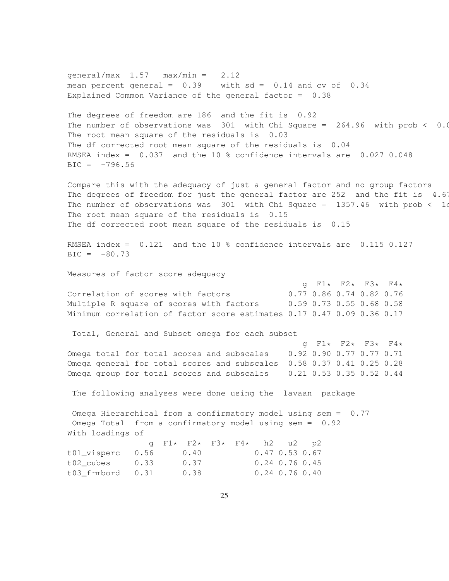qeneral/max  $1.57$  max/min =  $2.12$ mean percent general =  $0.39$  with sd =  $0.14$  and cv of  $0.34$ Explained Common Variance of the general factor = 0.38 The degrees of freedom are 186 and the fit is 0.92 The number of observations was  $301$  with Chi Square = 264.96 with prob < 0.0013 The root mean square of the residuals is 0.03 The df corrected root mean square of the residuals is 0.04 RMSEA index = 0.037 and the 10 % confidence intervals are 0.027 0.048  $BIC = -796.56$ Compare this with the adequacy of just a general factor and no group factors The degrees of freedom for just the general factor are 252 and the fit is  $4.67$ The number of observations was 301 with Chi Square = 1357.46 with prob < 16 The root mean square of the residuals is 0.15 The df corrected root mean square of the residuals is 0.15 RMSEA index = 0.121 and the 10 % confidence intervals are 0.115 0.127  $BIC = -80.73$ Measures of factor score adequacy g F1\* F2\* F3\* F4\* Correlation of scores with factors 0.77 0.86 0.74 0.82 0.76 Multiple R square of scores with factors 0.59 0.73 0.55 0.68 0.58 Minimum correlation of factor score estimates 0.17 0.47 0.09 0.36 0.17 Total, General and Subset omega for each subset g F1\* F2\* F3\* F4\* Omega total for total scores and subscales 0.92 0.90 0.77 0.77 0.71 Omega general for total scores and subscales 0.58 0.37 0.41 0.25 0.28 Omega group for total scores and subscales 0.21 0.53 0.35 0.52 0.44 The following analyses were done using the lavaan package Omega Hierarchical from a confirmatory model using sem = 0.77 Omega Total from a confirmatory model using sem = 0.92 With loadings of g F1\* F2\* F3\* F4\* h2 u2 p2 t01\_visperc 0.56 0.40 0.47 0.53 0.67 t02\_cubes 0.33 0.37 0.24 0.76 0.45 t03\_frmbord 0.31 0.38 0.24 0.76 0.40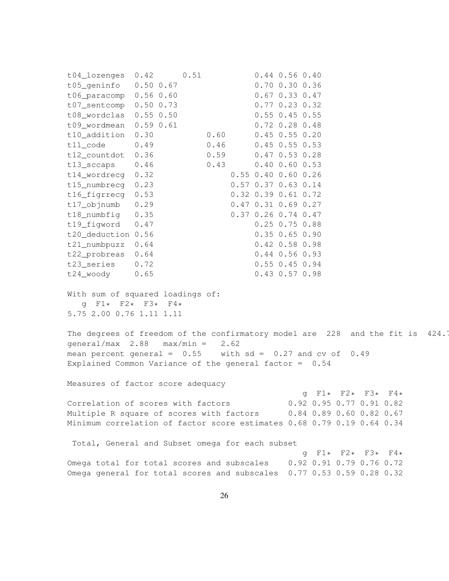t04\_lozenges 0.42 0.51 0.44 0.56 0.40 t05\_geninfo 0.50 0.67 0.70 0.30 0.36 t06\_paracomp 0.56 0.60 0.67 0.33 0.47 t07\_sentcomp 0.50 0.73 0.77 0.23 0.32 t08\_wordclas 0.55 0.50 0.55 0.45 0.55 t09\_wordmean 0.59 0.61 0.72 0.28 0.48 t10\_addition 0.30 0.60 0.45 0.55 0.20 t11 code 0.49 0.46 0.45 0.55 0.53 t12\_countdot 0.36 0.59 0.47 0.53 0.28 t13\_sccaps 0.46 0.43 0.40 0.60 0.53 t14\_wordrecg 0.32 0.55 0.40 0.60 0.26 t15\_numbrecg 0.23 0.57 0.37 0.63 0.14 t16\_figrrecg 0.53 0.32 0.39 0.61 0.72 t17\_objnumb 0.29 0.47 0.31 0.69 0.27 t18\_numbfig 0.35 0.37 0.26 0.74 0.47 t19\_figword 0.47 0.25 0.75 0.88 t20\_deduction 0.56 0.35 0.65 0.90 t21\_numbpuzz 0.64 0.42 0.58 0.98 t22\_probreas 0.64 0.44 0.56 0.93 t23\_series 0.72 0.55 0.45 0.94 t24\_woody 0.65 0.43 0.57 0.98 With sum of squared loadings of:  $q$  F1\* F2\* F3\* F4\* 5.75 2.00 0.76 1.11 1.11 The degrees of freedom of the confirmatory model are 228 and the fit is 424.7  $general/max$  2.88  $max/min = 2.62$ mean percent general =  $0.55$  with sd =  $0.27$  and cv of  $0.49$ Explained Common Variance of the general factor =  $0.54$ Measures of factor score adequacy g  $F1*$   $F2*$   $F3*$   $F4*$ <br>0.92 0.95 0.77 0.91 0.82 Correlation of scores with factors Multiple R square of scores with factors 0.84 0.89 0.60 0.82 0.67 Minimum correlation of factor score estimates 0.68 0.79 0.19 0.64 0.34 Total, General and Subset omega for each subset g F1\* F2\* F3\* F4\* Omega total for total scores and subscales 0.92 0.91 0.79 0.76 0.72 Omega general for total scores and subscales 0.77 0.53 0.59 0.28 0.32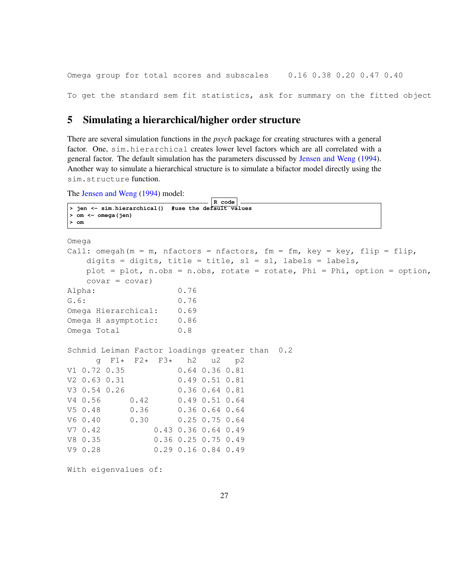Omega group for total scores and subscales 0.16 0.38 0.20 0.47 0.40

To get the standard sem fit statistics, ask for summary on the fitted object

## 5 Simulating a hierarchical/higher order structure

There are several simulation functions in the *psych* package for creating structures with a general factor. One, sim.hierarchical creates lower level factors which are all correlated with a general factor. The default simulation has the parameters discussed by Jensen and Weng (1994). Another way to simulate a hierarchical structure is to simulate a bifactor model directly using the sim.structure function.

The Jensen and Weng (1994) model:

```
R code
> jen <- sim.hierarchical() #use the default values
> om <- omega(jen)
> om
Omega
Call: omegah(m = m, nfactors = nfactors, fm = fm, key = key, flip = flip,
   digits = digits, title = title, sl = sl, labels = labels,
   plot = plot, n.obs = n.obs, rotate = rotate, Phi = Phi, option = option,
   covar = covar)
Alpha: 0.76
G.6: 0.76
Omega Hierarchical: 0.69
Omega H asymptotic: 0.86
Omega Total 0.8
Schmid Leiman Factor loadings greater than 0.2
     g F1* F2* F3* h2 u2 p2
V1 0.72 0.35 0.64 0.36 0.81
V2 0.63 0.31 0.49 0.51 0.81
V3 0.54 0.26 0.36 0.64 0.81
V4 0.56 0.42 0.49 0.51 0.64
V5 0.48 0.36 0.36 0.64 0.64
V6 0.40 0.30 0.25 0.75 0.64
V7 0.42 0.43 0.36 0.64 0.49
V8 0.35 0.36 0.25 0.75 0.49
V9 0.28 0.29 0.16 0.84 0.49
```
With eigenvalues of: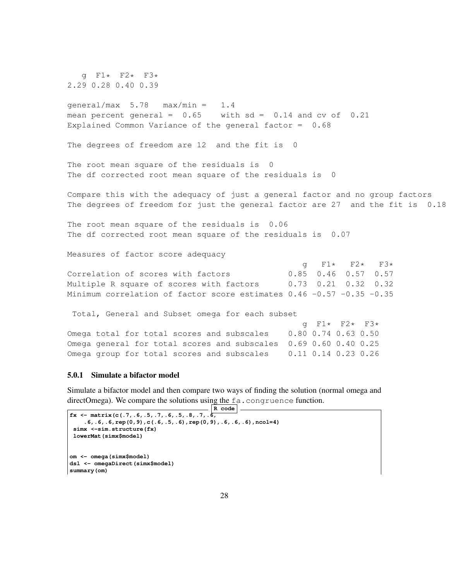g F1\* F2\* F3\* 2.29 0.28 0.40 0.39

```
general/max 5.78 max/min = 1.4
mean percent general = 0.65 with sd = 0.14 and cv of 0.21Explained Common Variance of the general factor = 0.68
```
The degrees of freedom are 12 and the fit is 0

The root mean square of the residuals is 0 The df corrected root mean square of the residuals is 0

Compare this with the adequacy of just a general factor and no group factors The degrees of freedom for just the general factor are 27 and the fit is 0.18

The root mean square of the residuals is 0.06 The df corrected root mean square of the residuals is 0.07

Measures of factor score adequacy

|                                                                        |  | q F1* F2* F3*               |  |
|------------------------------------------------------------------------|--|-----------------------------|--|
| Correlation of scores with factors                                     |  | $0.85$ $0.46$ $0.57$ $0.57$ |  |
| Multiple R square of scores with factors                               |  | $0.73$ $0.21$ $0.32$ $0.32$ |  |
| Minimum correlation of factor score estimates $0.46$ -0.57 -0.35 -0.35 |  |                             |  |

Total, General and Subset omega for each subset

|                                                                  |  | q F1* F2* F3* |  |
|------------------------------------------------------------------|--|---------------|--|
| Omega total for total scores and subscales $0.80$ 0.74 0.63 0.50 |  |               |  |
| Omega general for total scores and subscales 0.69 0.60 0.40 0.25 |  |               |  |
| Omega group for total scores and subscales $0.11$ 0.14 0.23 0.26 |  |               |  |

#### 5.0.1 Simulate a bifactor model

Simulate a bifactor model and then compare two ways of finding the solution (normal omega and directOmega). We compare the solutions using the fa.congruence function.

```
\overline{\mathsf{R}} code
fx \leftarrow matrix(c(.7,.6,.5,.7,.6,.5,.8,.7,.6,.6,.6,.6,rep(0,9),c(.6,.5,.6),rep(0,9),.6,.6,.6),ncol=4)
 simx <-sim.structure(fx)
 lowerMat(simx$model)
om <- omega(simx$model)
dsl <- omegaDirect(simx$model)
summary(om)
```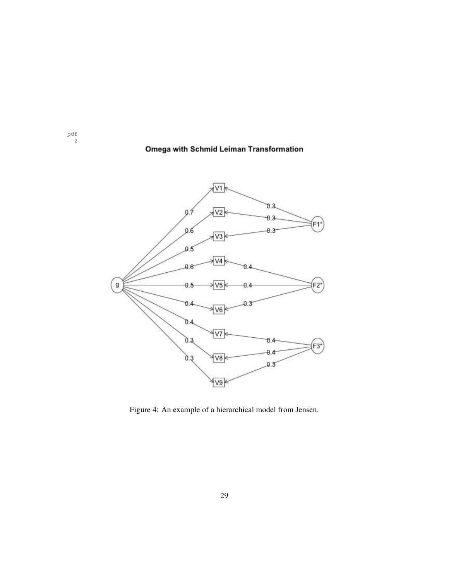## Omega with Schmid Leiman Transformation

pdf 2



Figure 4: An example of a hierarchical model from Jensen.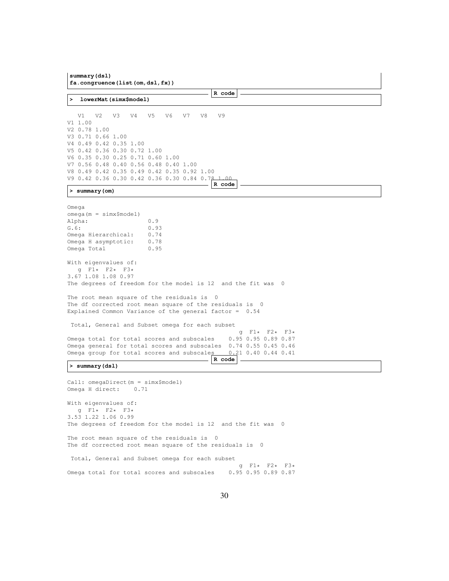**summary(dsl) fa.congruence(list(om,dsl,fx)) R code > lowerMat(simx\$model)** V1 V2 V3 V4 V5 V6 V7 V8 V9 V1 1.00 V2 0.78 1.00 V3 0.71 0.66 1.00 V4 0.49 0.42 0.35 1.00 V5 0.42 0.36 0.30 0.72 1.00 V6 0.35 0.30 0.25 0.71 0.60 1.00 V7 0.56 0.48 0.40 0.56 0.48 0.40 1.00 V8 0.49 0.42 0.35 0.49 0.42 0.35 0.92 1.00 V9 0.42 0.36 0.30 0.42 0.36 0.30 0.84 0.78 1.00 **R code > summary(om)** Omega omega(m = simx\$model) Alpha: 0.9 G.6: 0.93 Omega Hierarchical: 0.74 Omega H asymptotic: 0.78 Omega Total 0.95 With eigenvalues of: g F1\* F2\* F3\* 3.67 1.08 1.08 0.97 The degrees of freedom for the model is 12 and the fit was 0 The root mean square of the residuals is 0 The df corrected root mean square of the residuals is 0 Explained Common Variance of the general factor = 0.54 Total, General and Subset omega for each subset  $9 F1* F2* F3*$ <br>0.95 0.95 0.89 0.87 Omega total for total scores and subscales Omega general for total scores and subscales 0.74 0.55 0.45 0.46 Omega group for total scores and subscales 0.21 0.40 0.44 0.41 **R code > summary(dsl)** Call: omegaDirect(m = simx\$model) Omega H direct: 0.71 With eigenvalues of: g F1\* F2\* F3\*

3.53 1.22 1.06 0.99 The degrees of freedom for the model is 12 and the fit was 0 The root mean square of the residuals is 0 The df corrected root mean square of the residuals is 0 Total, General and Subset omega for each subset

g  $F1*$   $F2*$   $F3*$ <br>0.95 0.95 0.89 0.87 Omega total for total scores and subscales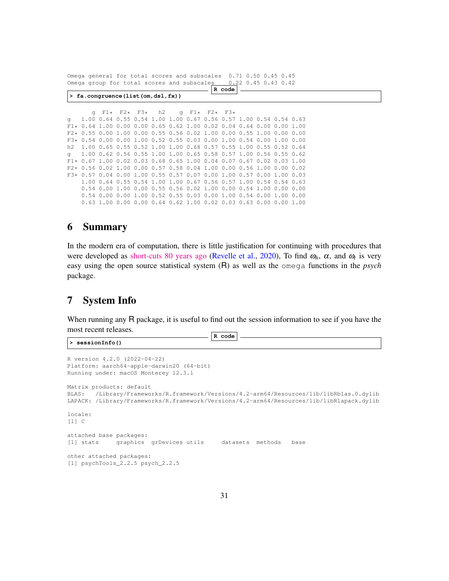Omega general for total scores and subscales 0.71 0.50 0.45 0.45 Omega group for total scores and subscales 0.22 0.45 0.43 0.42

|    |                                                                        |                |      |                                  |                                                  |                     | R code |                                                                  |           |  |  |  |
|----|------------------------------------------------------------------------|----------------|------|----------------------------------|--------------------------------------------------|---------------------|--------|------------------------------------------------------------------|-----------|--|--|--|
|    | > fa.congruence (list (om, dsl, fx))                                   |                |      |                                  |                                                  |                     |        |                                                                  |           |  |  |  |
|    |                                                                        |                |      |                                  |                                                  |                     |        |                                                                  |           |  |  |  |
|    | $\alpha$                                                               |                |      | $F1\star$ $F2\star$ $F3\star$ h2 |                                                  | q $F1*$ $F2*$ $F3*$ |        |                                                                  |           |  |  |  |
| q  |                                                                        |                |      |                                  |                                                  |                     |        | 1.00 0.64 0.55 0.54 1.00 1.00 0.67 0.56 0.57 1.00 0.54 0.54 0.63 |           |  |  |  |
|    | $F1*$ 0.64 1.00 0.00 0.00 0.65 0.62 1.00 0.02 0.04 0.64 0.00 0.00 1.00 |                |      |                                  |                                                  |                     |        |                                                                  |           |  |  |  |
|    | $F2*$ 0.55 0.00 1.00 0.00 0.55 0.56 0.02 1.00 0.00 0.55 1.00 0.00 0.00 |                |      |                                  |                                                  |                     |        |                                                                  |           |  |  |  |
|    | $F3*$ 0.54 0.00 0.00 1.00 0.52 0.55 0.03 0.00 1.00 0.54 0.00 1.00 0.00 |                |      |                                  |                                                  |                     |        |                                                                  |           |  |  |  |
| h2 | 1.00 0.65 0.55 0.52 1.00 1.00 0.68 0.57 0.55 1.00 0.55 0.52 0.64       |                |      |                                  |                                                  |                     |        |                                                                  |           |  |  |  |
| α  |                                                                        |                |      |                                  |                                                  |                     |        | 1.00 0.62 0.56 0.55 1.00 1.00 0.65 0.58 0.57 1.00 0.56 0.55 0.62 |           |  |  |  |
|    | $F1*$ 0.67 1.00 0.02 0.03 0.68 0.65 1.00 0.04 0.07 0.67 0.02 0.03 1.00 |                |      |                                  |                                                  |                     |        |                                                                  |           |  |  |  |
|    | $F2*$ 0.56 0.02 1.00 0.00 0.57 0.58 0.04 1.00 0.00 0.56 1.00 0.00 0.02 |                |      |                                  |                                                  |                     |        |                                                                  |           |  |  |  |
|    | $F3*$ 0.57 0.04 0.00 1.00 0.55 0.57 0.07 0.00 1.00 0.57 0.00 1.00 0.03 |                |      |                                  |                                                  |                     |        |                                                                  |           |  |  |  |
|    |                                                                        |                |      |                                  |                                                  |                     |        | 1.00 0.64 0.55 0.54 1.00 1.00 0.67 0.56 0.57 1.00 0.54 0.54 0.63 |           |  |  |  |
|    |                                                                        |                |      |                                  |                                                  |                     |        | 0.54 0.00 1.00 0.00 0.55 0.56 0.02 1.00 0.00 0.54 1.00 0.00 0.00 |           |  |  |  |
|    | 0.54                                                                   | 0.00           | 0.00 | 1.00                             | $0.52$ $0.55$ $0.03$ $0.00$ $1.00$ $0.54$ $0.00$ |                     |        |                                                                  | 1.00 0.00 |  |  |  |
|    |                                                                        | 0.63 1.00 0.00 |      |                                  |                                                  |                     |        | 0.00 0.64 0.62 1.00 0.02 0.03 0.63 0.00 0.00 1.00                |           |  |  |  |

## 6 Summary

In the modern era of computation, there is little justification for continuing with procedures that were developed as [short-cuts 80 years ago](https://personality-project.org/revelle/publications/cup.18.final.pdf) (Revelle et al., 2020), To find  $\omega_h$ ,  $\alpha$ , and  $\omega_t$  is very easy using the open source statistical system (R) as well as the omega functions in the *psych* package.

## 7 System Info

When running any R package, it is useful to find out the session information to see if you have the most recent releases.

**> sessionInfo()**

```
R code
```

```
R version 4.2.0 (2022-04-22)
Platform: aarch64-apple-darwin20 (64-bit)
Running under: macOS Monterey 12.3.1
Matrix products: default
BLAS: /Library/Frameworks/R.framework/Versions/4.2-arm64/Resources/lib/libRblas.0.dylib
LAPACK: /Library/Frameworks/R.framework/Versions/4.2-arm64/Resources/lib/libRlapack.dylib
locale:
[1] C
attached base packages:
[1] stats graphics grDevices utils datasets methods base
other attached packages:
[1] psychTools_2.2.5 psych_2.2.5
```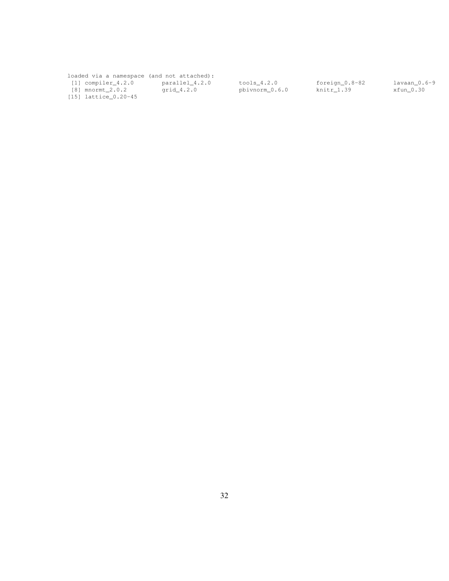loaded via a namespace (and not attached): [1] compiler\_4.2.0 parallel\_4.2.0 tools\_4.2.0 foreign\_0.8-82 lavaan\_0.6-9 [8] mnormt\_2.0.2 grid\_4.2.0 pbivnorm\_0.6.0 knitr\_1.39 xfun\_0.30

[15] lattice\_0.20-45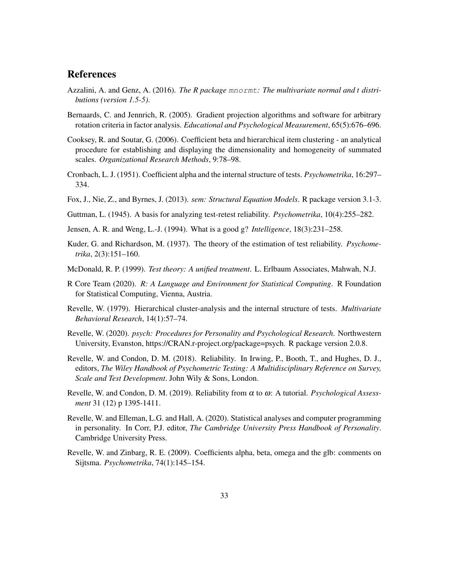## **References**

- Azzalini, A. and Genz, A. (2016). *The R package* mnormt*: The multivariate normal and t distributions (version 1.5-5)*.
- Bernaards, C. and Jennrich, R. (2005). Gradient projection algorithms and software for arbitrary rotation criteria in factor analysis. *Educational and Psychological Measurement*, 65(5):676–696.
- Cooksey, R. and Soutar, G. (2006). Coefficient beta and hierarchical item clustering an analytical procedure for establishing and displaying the dimensionality and homogeneity of summated scales. *Organizational Research Methods*, 9:78–98.
- Cronbach, L. J. (1951). Coefficient alpha and the internal structure of tests. *Psychometrika*, 16:297– 334.
- Fox, J., Nie, Z., and Byrnes, J. (2013). *sem: Structural Equation Models*. R package version 3.1-3.
- Guttman, L. (1945). A basis for analyzing test-retest reliability. *Psychometrika*, 10(4):255–282.
- Jensen, A. R. and Weng, L.-J. (1994). What is a good g? *Intelligence*, 18(3):231–258.
- Kuder, G. and Richardson, M. (1937). The theory of the estimation of test reliability. *Psychometrika*, 2(3):151–160.
- McDonald, R. P. (1999). *Test theory: A unified treatment*. L. Erlbaum Associates, Mahwah, N.J.
- R Core Team (2020). *R: A Language and Environment for Statistical Computing*. R Foundation for Statistical Computing, Vienna, Austria.
- Revelle, W. (1979). Hierarchical cluster-analysis and the internal structure of tests. *Multivariate Behavioral Research*, 14(1):57–74.
- Revelle, W. (2020). *psych: Procedures for Personality and Psychological Research*. Northwestern University, Evanston, https://CRAN.r-project.org/package=psych. R package version 2.0.8.
- Revelle, W. and Condon, D. M. (2018). Reliability. In Irwing, P., Booth, T., and Hughes, D. J., editors, *The Wiley Handbook of Psychometric Testing: A Multidisciplinary Reference on Survey, Scale and Test Development*. John Wily & Sons, London.
- Revelle, W. and Condon, D. M. (2019). Reliability from <sup>α</sup> to <sup>ω</sup>: A tutorial. *Psychological Assessment* 31 (12) p 1395-1411.
- Revelle, W. and Elleman, L.G. and Hall, A. (2020). Statistical analyses and computer programming in personality. In Corr, P.J. editor, *The Cambridge University Press Handbook of Personality*. Cambridge University Press.
- Revelle, W. and Zinbarg, R. E. (2009). Coefficients alpha, beta, omega and the glb: comments on Sijtsma. *Psychometrika*, 74(1):145–154.